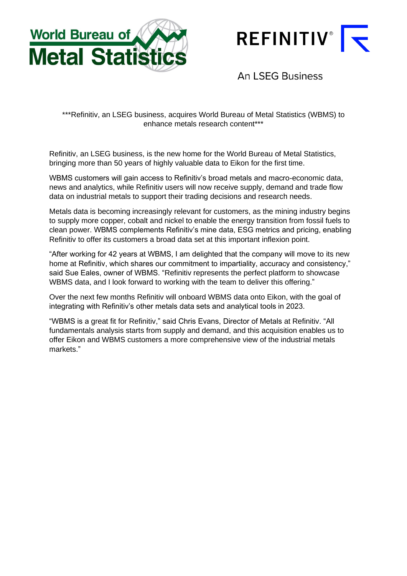



**An LSEG Business** 

\*\*\*Refinitiv, an LSEG business, acquires World Bureau of Metal Statistics (WBMS) to enhance metals research content\*\*\*

Refinitiv, an LSEG business, is the new home for the World Bureau of Metal Statistics, bringing more than 50 years of highly valuable data to Eikon for the first time.

WBMS customers will gain access to Refinitiv's broad metals and macro-economic data, news and analytics, while Refinitiv users will now receive supply, demand and trade flow data on industrial metals to support their trading decisions and research needs.

Metals data is becoming increasingly relevant for customers, as the mining industry begins to supply more copper, cobalt and nickel to enable the energy transition from fossil fuels to clean power. WBMS complements Refinitiv's mine data, ESG metrics and pricing, enabling Refinitiv to offer its customers a broad data set at this important inflexion point.

"After working for 42 years at WBMS, I am delighted that the company will move to its new home at Refinitiv, which shares our commitment to impartiality, accuracy and consistency," said Sue Eales, owner of WBMS. "Refinitiv represents the perfect platform to showcase WBMS data, and I look forward to working with the team to deliver this offering."

Over the next few months Refinitiv will onboard WBMS data onto Eikon, with the goal of integrating with Refinitiv's other metals data sets and analytical tools in 2023.

"WBMS is a great fit for Refinitiv," said Chris Evans, Director of Metals at Refinitiv. "All fundamentals analysis starts from supply and demand, and this acquisition enables us to offer Eikon and WBMS customers a more comprehensive view of the industrial metals markets."